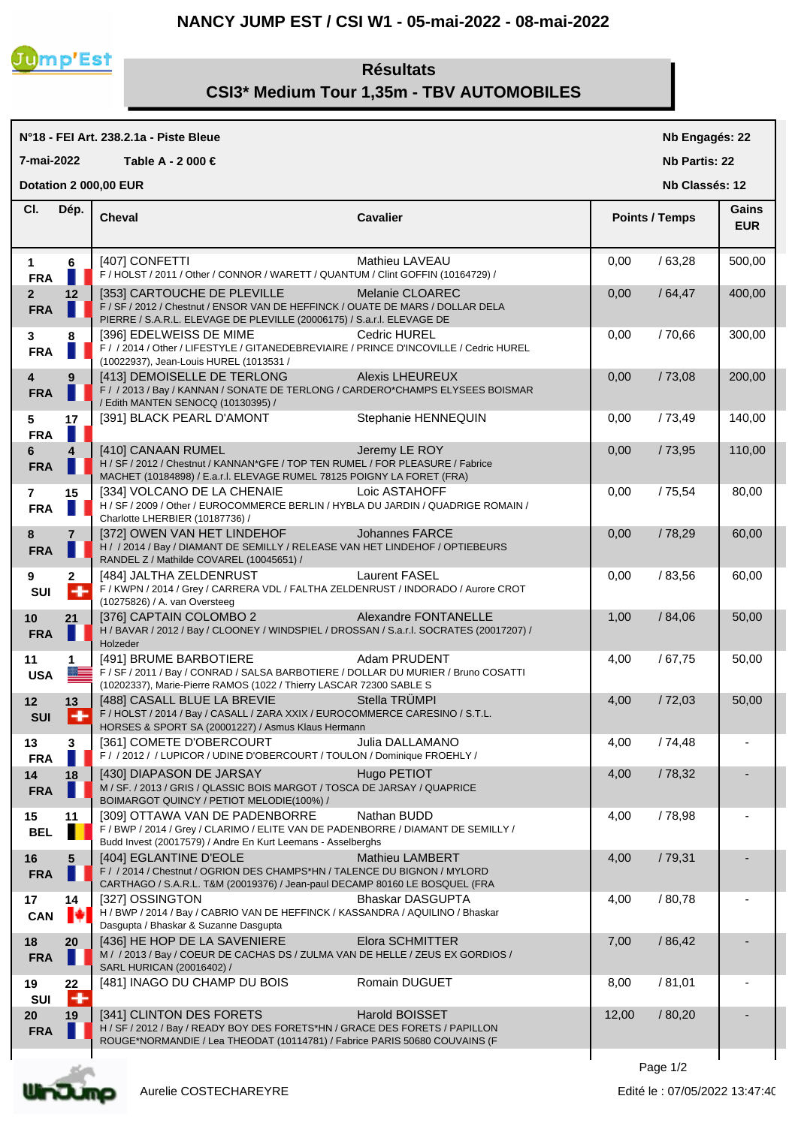## **NANCY JUMP EST / CSI W1 - 05-mai-2022 - 08-mai-2022**



## **Résultats CSI3\* Medium Tour 1,35m - TBV AUTOMOBILES**

## **N°18 - FEI Art. 238.2.1a - Piste Bleue Cheval Cavalier Cl. Nb Engagés: 22 Nb Partis: 22 Nb Classés: 12 Gains 7-mai-2022 Table A - 2 000 € Points / Temps EUR Dotation 2 000,00 EUR Dép. 1 6** [407] CONFETTI Mathieu LAVEAU 0,00 / 63,28 500,00 **FRA F** / HOLST / 2011 / Other / CONNOR / WARETT / QUANTUM / Clint GOFFIN (10164729) / **2 12** | [353] CARTOUCHE DE PLEVILLE Melanie CLOAREC | 0,00 / 64,47 | 400,00 **FRA** F / SF / 2012 / Chestnut / ENSOR VAN DE HEFFINCK / OUATE DE MARS / DOLLAR DELA PIERRE / S.A.R.L. ELEVAGE DE PLEVILLE (20006175) / S.a.r.l. ELEVAGE DE **3 8** [396] EDELWEISS DE MIME Cedric HUREL 0,00 / 70,66 300,00 **FRA** F / / 2014 / Other / LIFESTYLE / GITANEDEBREVIAIRE / PRINCE D'INCOVILLE / Cedric HUREL (10022937), Jean-Louis HUREL (1013531 / **4 9** [413] DEMOISELLE DE TERLONG Alexis LHEUREUX 0,00 / 73,08 200,00 **FRA** F / /2013 / Bay / KANNAN / SONATE DE TERLONG / CARDERO\*CHAMPS ELYSEES BOISMAR / Edith MANTEN SENOCQ (10130395) / **5 17** | [391] BLACK PEARL D'AMONT Stephanie HENNEQUIN | 0,00 / 73,49 | 140,00 **FRA 6 4** [410] CANAAN RUMEL Jeremy LE ROY 0,00 / 73,95 110,00 **FRA** H/SF/2012 / Chestnut / KANNAN\*GFE / TOP TEN RUMEL / FOR PLEASURE / Fabrice MACHET (10184898) / E.a.r.l. ELEVAGE RUMEL 78125 POIGNY LA FORET (FRA) **7 15** [334] VOLCANO DE LA CHENAIE Loic ASTAHOFF 0,00 / 75,54 80,00 **FRA** H / SF / 2009 / Other / EUROCOMMERCE BERLIN / HYBLA DU JARDIN / QUADRIGE ROMAIN / Charlotte LHERBIER (10187736) / **8 7**  $\begin{bmatrix} 372 \end{bmatrix}$  OWEN VAN HET LINDEHOF Johannes FARCE  $\begin{bmatrix} 0.00 \end{bmatrix}$   $\begin{bmatrix} 78,29 \end{bmatrix}$  60,00 **FRA**  $\blacksquare$  H / / 2014 / Bay / DIAMANT DE SEMILLY / RELEASE VAN HET LINDEHOF / OPTIEBEURS RANDEL Z / Mathilde COVAREL (10045651) / **9 2**  $\begin{bmatrix} 484 \end{bmatrix}$  JALTHA ZELDENRUST Laurent FASEL **1** 0,00 / 83,56 6 60,00 **SUI** F / KWPN / 2014 / Grey / CARRERA VDL / FALTHA ZELDENRUST / INDORADO / Aurore CROT (10275826) / A. van Oversteeg **10 21** | [376] CAPTAIN COLOMBO 2 Alexandre FONTANELLE | 1,00 / 84,06 50,00 **FRA** H / BAVAR / 2012 / Bay / CLOONEY / WINDSPIEL / DROSSAN / S.a.r.l. SOCRATES (20017207) / Holzeder **11 1**  $\begin{bmatrix} 4.91 \end{bmatrix}$  BRUME BARBOTIERE Adam PRUDENT  $\begin{bmatrix} 4.00 & /67.75 \end{bmatrix}$  50,00 USA F / SF / 2011 / Bay / CONRAD / SALSA BARBOTIERE / DOLLAR DU MURIER / Bruno COSATTI (10202337), Marie-Pierre RAMOS (1022 / Thierry LASCAR 72300 SABLE S **12 13**  $[488]$  CASALL BLUE LA BREVIE Stella TRÜMPI  $[4,00 \t 72,03 \t 50,00]$ **SUI** F / HOLST / 2014 / Bay / CASALL / ZARA XXIX / EUROCOMMERCE CARESINO / S.T.L. HORSES & SPORT SA (20001227) / Asmus Klaus Hermann **13 1**  $\begin{bmatrix} 3 & 3 \end{bmatrix}$  [361] COMETE D'OBERCOURT Julia DALLAMANO  $\begin{bmatrix} 4 & 00 \end{bmatrix}$  / 74,48 **FRA** F / / 2012 / / LUPICOR / UDINE D'OBERCOURT / TOULON / Dominique FROEHLY / **14 18** | [430] DIAPASON DE JARSAY Hugo PETIOT | 4,00 / 78,32 **FRA** M / SF. / 2013 / GRIS / QLASSIC BOIS MARGOT / TOSCA DE JARSAY / QUAPRICE BOIMARGOT QUINCY / PETIOT MELODIE(100%) / **15 11** | [309] OTTAWA VAN DE PADENBORRE Nathan BUDD | 4,00 / 78,98 **BEL F** / BWP / 2014 / Grey / CLARIMO / ELITE VAN DE PADENBORRE / DIAMANT DE SEMILLY / Budd Invest (20017579) / Andre En Kurt Leemans - Asselberghs **16 5**  $[404]$  EGLANTINE D'EOLE Mathieu LAMBERT  $4,00$  / 79,31 **FRA** F / / 2014 / Chestnut / OGRION DES CHAMPS\*HN / TALENCE DU BIGNON / MYLORD CARTHAGO / S.A.R.L. T&M (20019376) / Jean-paul DECAMP 80160 LE BOSQUEL (FRA **17 14** | [327] OSSINGTON Bhaskar DASGUPTA | 4,00 / 80,78 CAN  $\bullet$  H / BWP / 2014 / Bay / CABRIO VAN DE HEFFINCK / KASSANDRA / AQUILINO / Bhaskar Dasgupta / Bhaskar & Suzanne Dasgupta **18 20** [436] HE HOP DE LA SAVENIERE Elora SCHMITTER 7,00 / 86,42 - **FRA** M / 2013 / Bay / COEUR DE CACHAS DS / ZULMA VAN DE HELLE / ZEUS EX GORDIOS / SARL HURICAN (20016402) / **19 22**  $\begin{bmatrix} 481 \end{bmatrix}$  INAGO DU CHAMP DU BOIS Romain DUGUET  $\begin{bmatrix} 8,00 & /81,01 \end{bmatrix}$ **SUI 20 19**  $\begin{bmatrix} 341 \end{bmatrix}$  CLINTON DES FORETS **Harold BOISSET**  $\begin{bmatrix} 12,00 & /80,20 \end{bmatrix}$ **FRA**  $\blacksquare$  H / SF / 2012 / Bay / READY BOY DES FORETS\*HN / GRACE DES FORETS / PAPILLON ROUGE\*NORMANDIE / Lea THEODAT (10114781) / Fabrice PARIS 50680 COUVAINS (F



Page  $1/2$